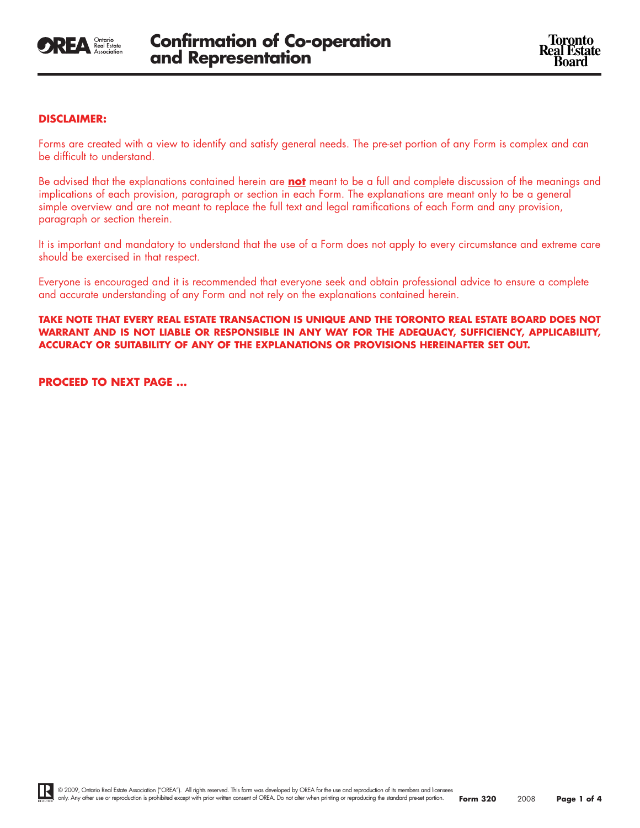

# **DISCLAIMER:**

Forms are created with a view to identify and satisfy general needs. The pre-set portion of any Form is complex and can be difficult to understand.

Be advised that the explanations contained herein are **not** meant to be a full and complete discussion of the meanings and implications of each provision, paragraph or section in each Form. The explanations are meant only to be a general simple overview and are not meant to replace the full text and legal ramifications of each Form and any provision, paragraph or section therein.

It is important and mandatory to understand that the use of a Form does not apply to every circumstance and extreme care should be exercised in that respect.

Everyone is encouraged and it is recommended that everyone seek and obtain professional advice to ensure a complete and accurate understanding of any Form and not rely on the explanations contained herein.

**TAKE NOTE THAT EVERY REAL ESTATE TRANSACTION IS UNIQUE AND THE TORONTO REAL ESTATE BOARD DOES NOT WARRANT AND IS NOT LIABLE OR RESPONSIBLE IN ANY WAY FOR THE ADEQUACY, SUFFICIENCY, APPLICABILITY, ACCURACY OR SUITABILITY OF ANY OF THE EXPLANATIONS OR PROVISIONS HEREINAFTER SET OUT.**

**PROCEED TO NEXT PAGE ...**

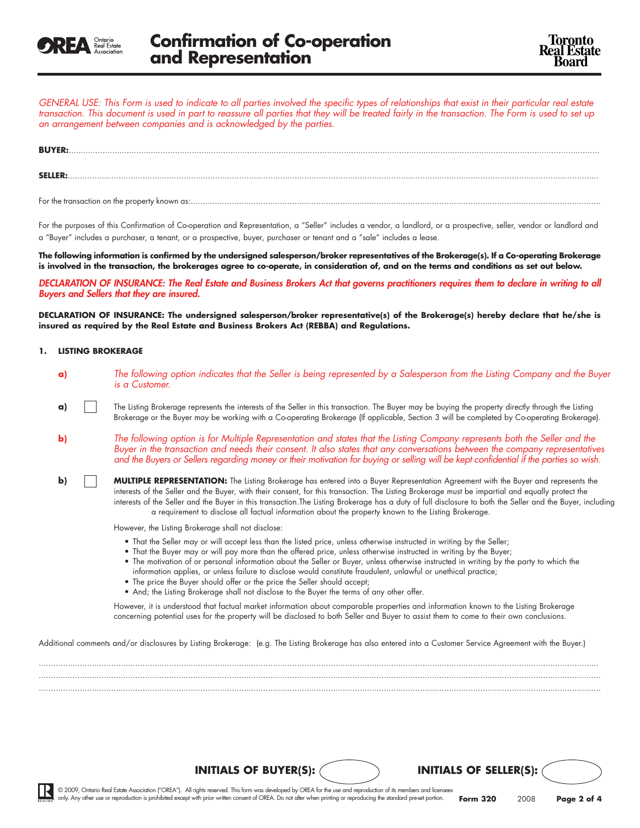

GENERAL USE: This Form is used to indicate to all parties involved the specific types of relationships that exist in their particular real estate transaction. This document is used in part to reassure all parties that they will be treated fairly in the transaction. The Form is used to set up *an arrangement between companies and is acknowledged by the parties.*

| <b>BUYER:</b>  |  |  |  |
|----------------|--|--|--|
|                |  |  |  |
| <b>SELLER:</b> |  |  |  |
|                |  |  |  |

For the transaction on the property known as:..........................................................................................................................................................................

For the purposes of this Confirmation of Co-operation and Representation, a "Seller" includes a vendor, a landlord, or a prospective, seller, vendor or landlord and a "Buyer" includes a purchaser, a tenant, or a prospective, buyer, purchaser or tenant and a "sale" includes a lease.

The following information is confirmed by the undersigned salesperson/broker representatives of the Brokerage(s). If a Co-operating Brokerage is involved in the transaction, the brokerages agree to co-operate, in consideration of, and on the terms and conditions as set out below.

DECLARATION OF INSURANCE: The Real Estate and Business Brokers Act that governs practitioners requires them to declare in writing to all *Buyers and Sellers that they are insured.*

DECLARATION OF INSURANCE: The undersigned salesperson/broker representative(s) of the Brokerage(s) hereby declare that he/she is **insured as required by the Real Estate and Business Brokers Act (REBBA) and Regulations.**

### **1. LISTING BROKERAGE**

- a) The following option indicates that the Seller is being represented by a Salesperson from the Listing Company and the Buyer *is a Customer.*
- **a)** The Listing Brokerage represents the interests of the Seller in this transaction. The Buyer may be buying the property directly through the Listing Brokerage or the Buyer may be working with a Co-operating Brokerage (If applicable, Section 3 will be completed by Co-operating Brokerage).
- **b)** The following option is for Multiple Representation and states that the Listing Company represents both the Seller and the Buyer in the transaction and needs their consent. It also states that any conversations between the company representatives and the Buyers or Sellers regarding money or their motivation for buying or selling will be kept confidential if the parties so wish.
- **b) MULTIPLE REPRESENTATION:** The Listing Brokerage has entered into a Buyer Representation Agreement with the Buyer and represents the interests of the Seller and the Buyer, with their consent, for this transaction. The Listing Brokerage must be impartial and equally protect the interests of the Seller and the Buyer in this transaction.The Listing Brokerage has a duty of full disclosure to both the Seller and the Buyer, including a requirement to disclose all factual information about the property known to the Listing Brokerage.

However, the Listing Brokerage shall not disclose:

- That the Seller may or will accept less than the listed price, unless otherwise instructed in writing by the Seller;
- That the Buyer may or will pay more than the offered price, unless otherwise instructed in writing by the Buyer;
- The motivation of or personal information about the Seller or Buyer, unless otherwise instructed in writing by the party to which the information applies, or unless failure to disclose would constitute fraudulent, unlawful or unethical practice;

**INITIALS OF BUYER(S): INITIALS OF SELLER(S):**

- The price the Buyer should offer or the price the Seller should accept;
- And; the Listing Brokerage shall not disclose to the Buyer the terms of any other offer.

However, it is understood that factual market information about comparable properties and information known to the Listing Brokerage concerning potential uses for the property will be disclosed to both Seller and Buyer to assist them to come to their own conclusions.

Additional comments and/or disclosures by Listing Brokerage: (e.g. The Listing Brokerage has also entered into a Customer Service Agreement with the Buyer.)

........................................................................................................................................................................................................................................ ......................................................................................................................................................................................................................................... .........................................................................................................................................................................................................................................

© 2009, Ontario Real Estate Association ("OREA"). All rights reserved. This form was developed by OREA for the use and reproduction of its members and licensees only. Any other use or reproduction is prohibited except with prior written consent of OREA. Do not alter when printing or reproducing the standard pre-set portion.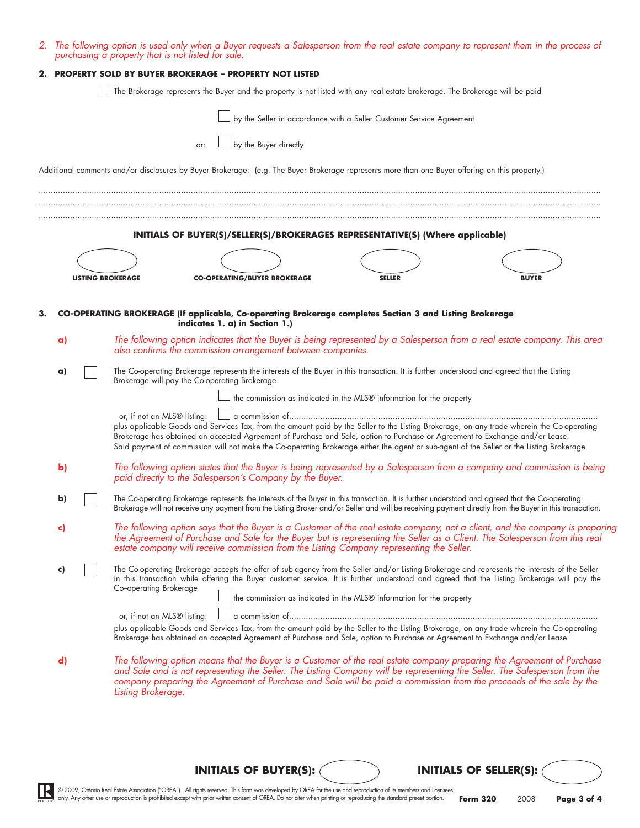|    |              |                             | 2. The following option is used only when a Buyer requests a Salesperson from the real estate company to represent them in the process of<br>purchasing a property that is not listed for sale.                                                                                                                                                                                                                         |                                                                      |               |              |                                                                                                                               |
|----|--------------|-----------------------------|-------------------------------------------------------------------------------------------------------------------------------------------------------------------------------------------------------------------------------------------------------------------------------------------------------------------------------------------------------------------------------------------------------------------------|----------------------------------------------------------------------|---------------|--------------|-------------------------------------------------------------------------------------------------------------------------------|
| 2. |              |                             | <b>PROPERTY SOLD BY BUYER BROKERAGE - PROPERTY NOT LISTED</b>                                                                                                                                                                                                                                                                                                                                                           |                                                                      |               |              |                                                                                                                               |
|    |              |                             | The Brokerage represents the Buyer and the property is not listed with any real estate brokerage. The Brokerage will be paid                                                                                                                                                                                                                                                                                            |                                                                      |               |              |                                                                                                                               |
|    |              |                             |                                                                                                                                                                                                                                                                                                                                                                                                                         | by the Seller in accordance with a Seller Customer Service Agreement |               |              |                                                                                                                               |
|    |              |                             | or:                                                                                                                                                                                                                                                                                                                                                                                                                     | $\rfloor$ by the Buyer directly                                      |               |              |                                                                                                                               |
|    |              |                             |                                                                                                                                                                                                                                                                                                                                                                                                                         |                                                                      |               |              |                                                                                                                               |
|    |              |                             | Additional comments and/or disclosures by Buyer Brokerage: (e.g. The Buyer Brokerage represents more than one Buyer offering on this property.)                                                                                                                                                                                                                                                                         |                                                                      |               |              |                                                                                                                               |
|    |              |                             |                                                                                                                                                                                                                                                                                                                                                                                                                         |                                                                      |               |              |                                                                                                                               |
|    |              |                             | INITIALS OF BUYER(S)/SELLER(S)/BROKERAGES REPRESENTATIVE(S) (Where applicable)                                                                                                                                                                                                                                                                                                                                          |                                                                      |               |              |                                                                                                                               |
|    |              |                             |                                                                                                                                                                                                                                                                                                                                                                                                                         |                                                                      |               |              |                                                                                                                               |
|    |              | <b>LISTING BROKERAGE</b>    |                                                                                                                                                                                                                                                                                                                                                                                                                         | <b>CO-OPERATING/BUYER BROKERAGE</b>                                  | <b>SELLER</b> | <b>BUYER</b> |                                                                                                                               |
|    |              |                             |                                                                                                                                                                                                                                                                                                                                                                                                                         |                                                                      |               |              |                                                                                                                               |
|    |              |                             | CO-OPERATING BROKERAGE (If applicable, Co-operating Brokerage completes Section 3 and Listing Brokerage                                                                                                                                                                                                                                                                                                                 |                                                                      |               |              |                                                                                                                               |
|    |              |                             | indicates 1. a) in Section 1.)                                                                                                                                                                                                                                                                                                                                                                                          |                                                                      |               |              |                                                                                                                               |
|    | a)           |                             | The following option indicates that the Buyer is being represented by a Salesperson from a real estate company. This area<br>also confirms the commission arrangement between companies.                                                                                                                                                                                                                                |                                                                      |               |              |                                                                                                                               |
|    | a)           |                             | The Co-operating Brokerage represents the interests of the Buyer in this transaction. It is further understood and agreed that the Listing<br>Brokerage will pay the Co-operating Brokerage                                                                                                                                                                                                                             |                                                                      |               |              |                                                                                                                               |
|    |              |                             |                                                                                                                                                                                                                                                                                                                                                                                                                         | the commission as indicated in the MLS® information for the property |               |              |                                                                                                                               |
|    |              | or, if not an MLS® listing: |                                                                                                                                                                                                                                                                                                                                                                                                                         |                                                                      |               |              |                                                                                                                               |
|    |              |                             | plus applicable Goods and Services Tax, from the amount paid by the Seller to the Listing Brokerage, on any trade wherein the Co-operating<br>Brokerage has obtained an accepted Agreement of Purchase and Sale, option to Purchase or Agreement to Exchange and/or Lease.<br>Said payment of commission will not make the Co-operating Brokerage either the agent or sub-agent of the Seller or the Listing Brokerage. |                                                                      |               |              |                                                                                                                               |
|    | $\mathbf{b}$ |                             | The following option states that the Buyer is being represented by a Salesperson from a company and commission is being<br>paid directly to the Salesperson's Company by the Buyer.                                                                                                                                                                                                                                     |                                                                      |               |              |                                                                                                                               |
|    | b)           |                             | The Co-operating Brokerage represents the interests of the Buyer in this transaction. It is further understood and agreed that the Co-operating<br>Brokerage will not receive any payment from the Listing Broker and/or Seller and will be receiving payment directly from the Buyer in this transaction.                                                                                                              |                                                                      |               |              |                                                                                                                               |
|    | C)           |                             | the Agreement of Purchase and Sale for the Buyer but is representing the Seller as a Client. The Salesperson from this real<br>estate company will receive commission from the Listing Company representing the Seller.                                                                                                                                                                                                 |                                                                      |               |              | The following option says that the Buyer is a Customer of the real estate company, not a client, and the company is preparing |
|    | c)           | Co-operating Brokerage      | The Co-operating Brokerage accepts the offer of sub-agency from the Seller and/or Listing Brokerage and represents the interests of the Seller<br>in this transaction while offering the Buyer customer service. It is further understood and agreed that the Listing Brokerage will pay the                                                                                                                            |                                                                      |               |              |                                                                                                                               |
|    |              |                             |                                                                                                                                                                                                                                                                                                                                                                                                                         | the commission as indicated in the MLS® information for the property |               |              |                                                                                                                               |
|    |              | or, if not an MLS® listing: | plus applicable Goods and Services Tax, from the amount paid by the Seller to the Listing Brokerage, on any trade wherein the Co-operating<br>Brokerage has obtained an accepted Agreement of Purchase and Sale, option to Purchase or Agreement to Exchange and/or Lease.                                                                                                                                              |                                                                      |               |              |                                                                                                                               |
|    | $\mathbf{d}$ | Listing Brokerage.          | The following option means that the Buyer is a Customer of the real estate company preparing the Agreement of Purchase<br>and Sale and is not representing the Seller. The Listing Company will be representing the Seller. The Salesperson from the<br>company preparing the Agreement of Purchase and Sale will be paid a commission from the proceeds of the sale by the                                             |                                                                      |               |              |                                                                                                                               |
|    |              |                             |                                                                                                                                                                                                                                                                                                                                                                                                                         |                                                                      |               |              |                                                                                                                               |

**INITIALS OF BUYER(S): INITIALS OF SELLER(S):**